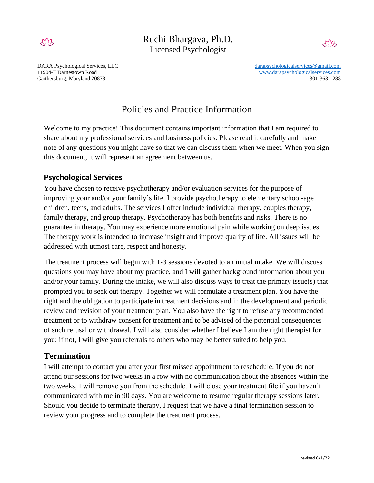

Ruchi Bhargava, Ph.D. Licensed Psychologist



Gaithersburg, Maryland 20878 301-363-1288 301-363-1288

DARA Psychological Services, LLC [darapsychologicalservices@gmail.com](mailto:darapsychologicalservices@gmail.com) 11904-F Darnestown Road [www.darapsychologicalservices.com](http://www.darapsychologicalservices.com/)

# Policies and Practice Information

Welcome to my practice! This document contains important information that I am required to share about my professional services and business policies. Please read it carefully and make note of any questions you might have so that we can discuss them when we meet. When you sign this document, it will represent an agreement between us.

# **Psychological Services**

You have chosen to receive psychotherapy and/or evaluation services for the purpose of improving your and/or your family's life. I provide psychotherapy to elementary school-age children, teens, and adults. The services I offer include individual therapy, couples therapy, family therapy, and group therapy. Psychotherapy has both benefits and risks. There is no guarantee in therapy. You may experience more emotional pain while working on deep issues. The therapy work is intended to increase insight and improve quality of life. All issues will be addressed with utmost care, respect and honesty.

The treatment process will begin with 1-3 sessions devoted to an initial intake. We will discuss questions you may have about my practice, and I will gather background information about you and/or your family. During the intake, we will also discuss ways to treat the primary issue(s) that prompted you to seek out therapy. Together we will formulate a treatment plan. You have the right and the obligation to participate in treatment decisions and in the development and periodic review and revision of your treatment plan. You also have the right to refuse any recommended treatment or to withdraw consent for treatment and to be advised of the potential consequences of such refusal or withdrawal. I will also consider whether I believe I am the right therapist for you; if not, I will give you referrals to others who may be better suited to help you.

# **Termination**

I will attempt to contact you after your first missed appointment to reschedule. If you do not attend our sessions for two weeks in a row with no communication about the absences within the two weeks, I will remove you from the schedule. I will close your treatment file if you haven't communicated with me in 90 days. You are welcome to resume regular therapy sessions later. Should you decide to terminate therapy, I request that we have a final termination session to review your progress and to complete the treatment process.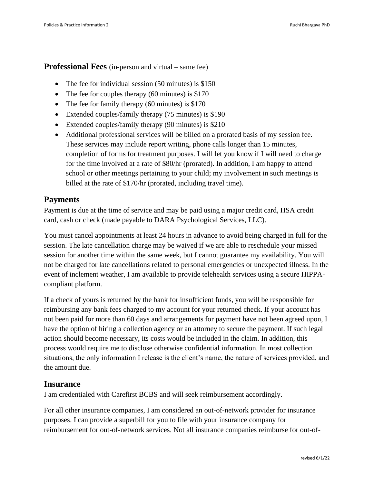#### **Professional Fees** (in-person and virtual – same fee)

- The fee for individual session (50 minutes) is \$150
- The fee for couples therapy (60 minutes) is \$170
- The fee for family therapy (60 minutes) is \$170
- Extended couples/family therapy (75 minutes) is \$190
- Extended couples/family therapy (90 minutes) is \$210
- Additional professional services will be billed on a prorated basis of my session fee. These services may include report writing, phone calls longer than 15 minutes, completion of forms for treatment purposes. I will let you know if I will need to charge for the time involved at a rate of \$80/hr (prorated). In addition, I am happy to attend school or other meetings pertaining to your child; my involvement in such meetings is billed at the rate of \$170/hr (prorated, including travel time).

## **Payments**

Payment is due at the time of service and may be paid using a major credit card, HSA credit card, cash or check (made payable to DARA Psychological Services, LLC).

You must cancel appointments at least 24 hours in advance to avoid being charged in full for the session. The late cancellation charge may be waived if we are able to reschedule your missed session for another time within the same week, but I cannot guarantee my availability. You will not be charged for late cancellations related to personal emergencies or unexpected illness. In the event of inclement weather, I am available to provide telehealth services using a secure HIPPAcompliant platform.

If a check of yours is returned by the bank for insufficient funds, you will be responsible for reimbursing any bank fees charged to my account for your returned check. If your account has not been paid for more than 60 days and arrangements for payment have not been agreed upon, I have the option of hiring a collection agency or an attorney to secure the payment. If such legal action should become necessary, its costs would be included in the claim. In addition, this process would require me to disclose otherwise confidential information. In most collection situations, the only information I release is the client's name, the nature of services provided, and the amount due.

#### **Insurance**

I am credentialed with Carefirst BCBS and will seek reimbursement accordingly.

For all other insurance companies, I am considered an out-of-network provider for insurance purposes. I can provide a superbill for you to file with your insurance company for reimbursement for out-of-network services. Not all insurance companies reimburse for out-of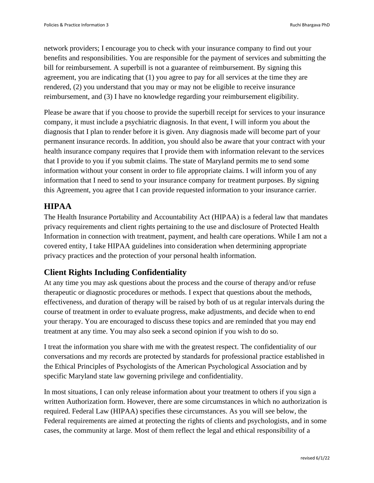network providers; I encourage you to check with your insurance company to find out your benefits and responsibilities. You are responsible for the payment of services and submitting the bill for reimbursement. A superbill is not a guarantee of reimbursement. By signing this agreement, you are indicating that (1) you agree to pay for all services at the time they are rendered, (2) you understand that you may or may not be eligible to receive insurance reimbursement, and (3) I have no knowledge regarding your reimbursement eligibility.

Please be aware that if you choose to provide the superbill receipt for services to your insurance company, it must include a psychiatric diagnosis. In that event, I will inform you about the diagnosis that I plan to render before it is given. Any diagnosis made will become part of your permanent insurance records. In addition, you should also be aware that your contract with your health insurance company requires that I provide them with information relevant to the services that I provide to you if you submit claims. The state of Maryland permits me to send some information without your consent in order to file appropriate claims. I will inform you of any information that I need to send to your insurance company for treatment purposes. By signing this Agreement, you agree that I can provide requested information to your insurance carrier.

# **HIPAA**

The Health Insurance Portability and Accountability Act (HIPAA) is a federal law that mandates privacy requirements and client rights pertaining to the use and disclosure of Protected Health Information in connection with treatment, payment, and health care operations. While I am not a covered entity, I take HIPAA guidelines into consideration when determining appropriate privacy practices and the protection of your personal health information.

# **Client Rights Including Confidentiality**

At any time you may ask questions about the process and the course of therapy and/or refuse therapeutic or diagnostic procedures or methods. I expect that questions about the methods, effectiveness, and duration of therapy will be raised by both of us at regular intervals during the course of treatment in order to evaluate progress, make adjustments, and decide when to end your therapy. You are encouraged to discuss these topics and are reminded that you may end treatment at any time. You may also seek a second opinion if you wish to do so.

I treat the information you share with me with the greatest respect. The confidentiality of our conversations and my records are protected by standards for professional practice established in the Ethical Principles of Psychologists of the American Psychological Association and by specific Maryland state law governing privilege and confidentiality.

In most situations, I can only release information about your treatment to others if you sign a written Authorization form. However, there are some circumstances in which no authorization is required. Federal Law (HIPAA) specifies these circumstances. As you will see below, the Federal requirements are aimed at protecting the rights of clients and psychologists, and in some cases, the community at large. Most of them reflect the legal and ethical responsibility of a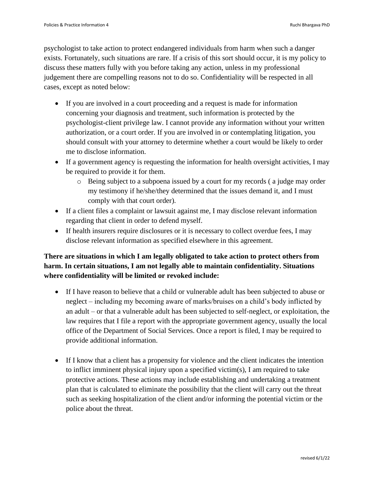psychologist to take action to protect endangered individuals from harm when such a danger exists. Fortunately, such situations are rare. If a crisis of this sort should occur, it is my policy to discuss these matters fully with you before taking any action, unless in my professional judgement there are compelling reasons not to do so. Confidentiality will be respected in all cases, except as noted below:

- If you are involved in a court proceeding and a request is made for information concerning your diagnosis and treatment, such information is protected by the psychologist-client privilege law. I cannot provide any information without your written authorization, or a court order. If you are involved in or contemplating litigation, you should consult with your attorney to determine whether a court would be likely to order me to disclose information.
- If a government agency is requesting the information for health oversight activities, I may be required to provide it for them.
	- o Being subject to a subpoena issued by a court for my records ( a judge may order my testimony if he/she/they determined that the issues demand it, and I must comply with that court order).
- If a client files a complaint or lawsuit against me, I may disclose relevant information regarding that client in order to defend myself.
- If health insurers require disclosures or it is necessary to collect overdue fees, I may disclose relevant information as specified elsewhere in this agreement.

# **There are situations in which I am legally obligated to take action to protect others from harm. In certain situations, I am not legally able to maintain confidentiality. Situations where confidentiality will be limited or revoked include:**

- If I have reason to believe that a child or vulnerable adult has been subjected to abuse or neglect – including my becoming aware of marks/bruises on a child's body inflicted by an adult – or that a vulnerable adult has been subjected to self-neglect, or exploitation, the law requires that I file a report with the appropriate government agency, usually the local office of the Department of Social Services. Once a report is filed, I may be required to provide additional information.
- If I know that a client has a propensity for violence and the client indicates the intention to inflict imminent physical injury upon a specified victim(s), I am required to take protective actions. These actions may include establishing and undertaking a treatment plan that is calculated to eliminate the possibility that the client will carry out the threat such as seeking hospitalization of the client and/or informing the potential victim or the police about the threat.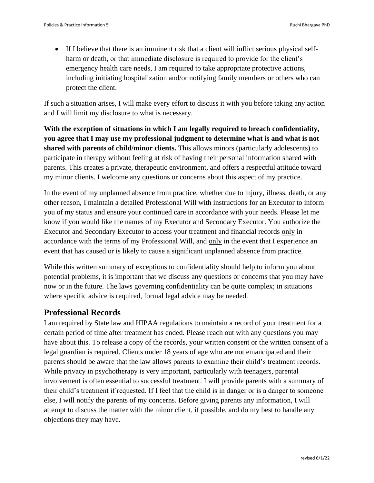• If I believe that there is an imminent risk that a client will inflict serious physical selfharm or death, or that immediate disclosure is required to provide for the client's emergency health care needs, I am required to take appropriate protective actions, including initiating hospitalization and/or notifying family members or others who can protect the client.

If such a situation arises, I will make every effort to discuss it with you before taking any action and I will limit my disclosure to what is necessary.

**With the exception of situations in which I am legally required to breach confidentiality, you agree that I may use my professional judgment to determine what is and what is not shared with parents of child/minor clients.** This allows minors (particularly adolescents) to participate in therapy without feeling at risk of having their personal information shared with parents. This creates a private, therapeutic environment, and offers a respectful attitude toward my minor clients. I welcome any questions or concerns about this aspect of my practice.

In the event of my unplanned absence from practice, whether due to injury, illness, death, or any other reason, I maintain a detailed Professional Will with instructions for an Executor to inform you of my status and ensure your continued care in accordance with your needs. Please let me know if you would like the names of my Executor and Secondary Executor. You authorize the Executor and Secondary Executor to access your treatment and financial records only in accordance with the terms of my Professional Will, and only in the event that I experience an event that has caused or is likely to cause a significant unplanned absence from practice.

While this written summary of exceptions to confidentiality should help to inform you about potential problems, it is important that we discuss any questions or concerns that you may have now or in the future. The laws governing confidentiality can be quite complex; in situations where specific advice is required, formal legal advice may be needed.

#### **Professional Records**

I am required by State law and HIPAA regulations to maintain a record of your treatment for a certain period of time after treatment has ended. Please reach out with any questions you may have about this. To release a copy of the records, your written consent or the written consent of a legal guardian is required. Clients under 18 years of age who are not emancipated and their parents should be aware that the law allows parents to examine their child's treatment records. While privacy in psychotherapy is very important, particularly with teenagers, parental involvement is often essential to successful treatment. I will provide parents with a summary of their child's treatment if requested. If I feel that the child is in danger or is a danger to someone else, I will notify the parents of my concerns. Before giving parents any information, I will attempt to discuss the matter with the minor client, if possible, and do my best to handle any objections they may have.